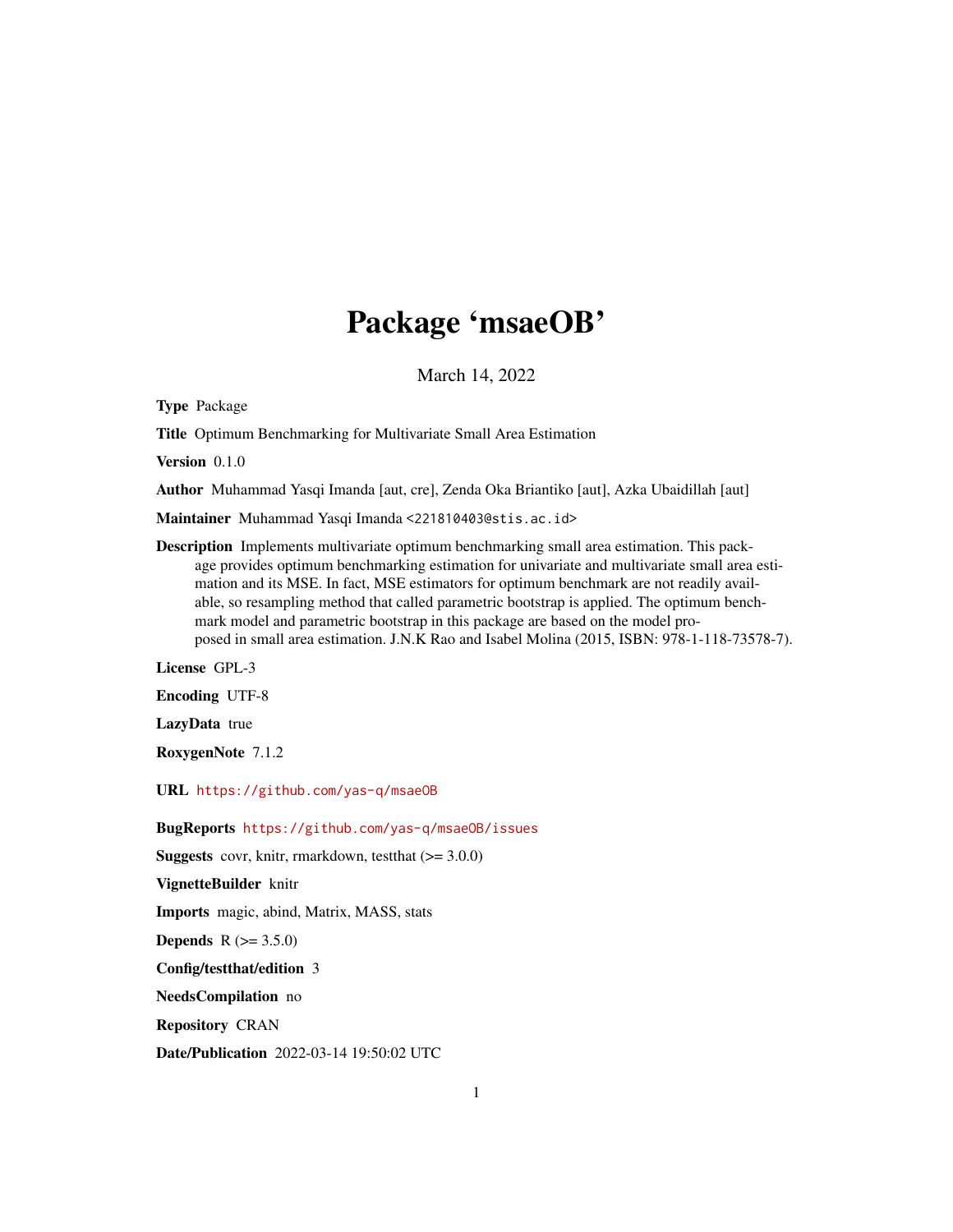## Package 'msaeOB'

March 14, 2022

Type Package

Title Optimum Benchmarking for Multivariate Small Area Estimation

Version 0.1.0

Author Muhammad Yasqi Imanda [aut, cre], Zenda Oka Briantiko [aut], Azka Ubaidillah [aut]

Maintainer Muhammad Yasqi Imanda <221810403@stis.ac.id>

Description Implements multivariate optimum benchmarking small area estimation. This package provides optimum benchmarking estimation for univariate and multivariate small area estimation and its MSE. In fact, MSE estimators for optimum benchmark are not readily available, so resampling method that called parametric bootstrap is applied. The optimum benchmark model and parametric bootstrap in this package are based on the model proposed in small area estimation. J.N.K Rao and Isabel Molina (2015, ISBN: 978-1-118-73578-7).

License GPL-3

Encoding UTF-8

LazyData true

RoxygenNote 7.1.2

URL <https://github.com/yas-q/msaeOB>

BugReports <https://github.com/yas-q/msaeOB/issues>

**Suggests** covr, knitr, rmarkdown, test that  $(>= 3.0.0)$ 

VignetteBuilder knitr

Imports magic, abind, Matrix, MASS, stats

**Depends** R  $(>= 3.5.0)$ 

Config/testthat/edition 3

NeedsCompilation no

Repository CRAN

Date/Publication 2022-03-14 19:50:02 UTC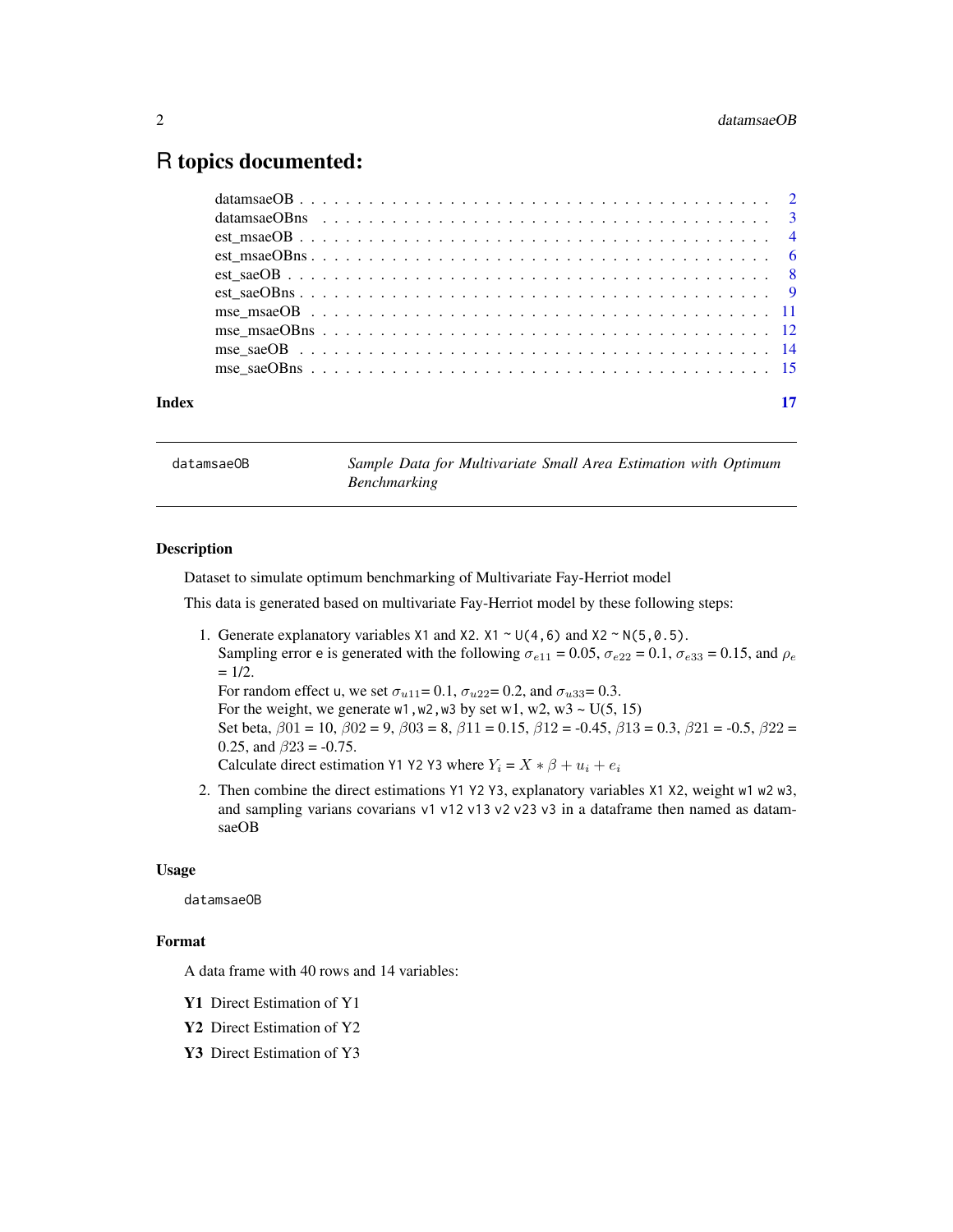### <span id="page-1-0"></span>R topics documented:

| Index |  |  |  |  |  |  |  |  |  |  |  |  |  |  |  |  |  |  |  |
|-------|--|--|--|--|--|--|--|--|--|--|--|--|--|--|--|--|--|--|--|
|       |  |  |  |  |  |  |  |  |  |  |  |  |  |  |  |  |  |  |  |
|       |  |  |  |  |  |  |  |  |  |  |  |  |  |  |  |  |  |  |  |
|       |  |  |  |  |  |  |  |  |  |  |  |  |  |  |  |  |  |  |  |
|       |  |  |  |  |  |  |  |  |  |  |  |  |  |  |  |  |  |  |  |
|       |  |  |  |  |  |  |  |  |  |  |  |  |  |  |  |  |  |  |  |
|       |  |  |  |  |  |  |  |  |  |  |  |  |  |  |  |  |  |  |  |
|       |  |  |  |  |  |  |  |  |  |  |  |  |  |  |  |  |  |  |  |
|       |  |  |  |  |  |  |  |  |  |  |  |  |  |  |  |  |  |  |  |
|       |  |  |  |  |  |  |  |  |  |  |  |  |  |  |  |  |  |  |  |
|       |  |  |  |  |  |  |  |  |  |  |  |  |  |  |  |  |  |  |  |

datamsaeOB *Sample Data for Multivariate Small Area Estimation with Optimum Benchmarking*

#### Description

Dataset to simulate optimum benchmarking of Multivariate Fay-Herriot model

This data is generated based on multivariate Fay-Herriot model by these following steps:

1. Generate explanatory variables  $X1$  and  $X2$ .  $X1 \sim U(4, 6)$  and  $X2 \sim N(5, 0.5)$ . Sampling error e is generated with the following  $\sigma_{e11} = 0.05$ ,  $\sigma_{e22} = 0.1$ ,  $\sigma_{e33} = 0.15$ , and  $\rho_e$  $= 1/2.$ For random effect u, we set  $\sigma_{u11} = 0.1$ ,  $\sigma_{u22} = 0.2$ , and  $\sigma_{u33} = 0.3$ . For the weight, we generate w1, w2, w3 by set w1, w2, w3  $\sim$  U(5, 15)

Set beta,  $\beta$ 01 = 10,  $\beta$ 02 = 9,  $\beta$ 03 = 8,  $\beta$ 11 = 0.15,  $\beta$ 12 = -0.45,  $\beta$ 13 = 0.3,  $\beta$ 21 = -0.5,  $\beta$ 22 = 0.25, and  $\beta$ 23 = -0.75.

Calculate direct estimation Y1 Y2 Y3 where  $Y_i = X * \beta + u_i + e_i$ 

2. Then combine the direct estimations Y1 Y2 Y3, explanatory variables X1 X2, weight w1 w2 w3, and sampling varians covarians v1 v12 v13 v2 v23 v3 in a dataframe then named as datamsaeOB

#### Usage

datamsaeOB

#### Format

A data frame with 40 rows and 14 variables:

- Y1 Direct Estimation of Y1
- Y2 Direct Estimation of Y2
- Y3 Direct Estimation of Y3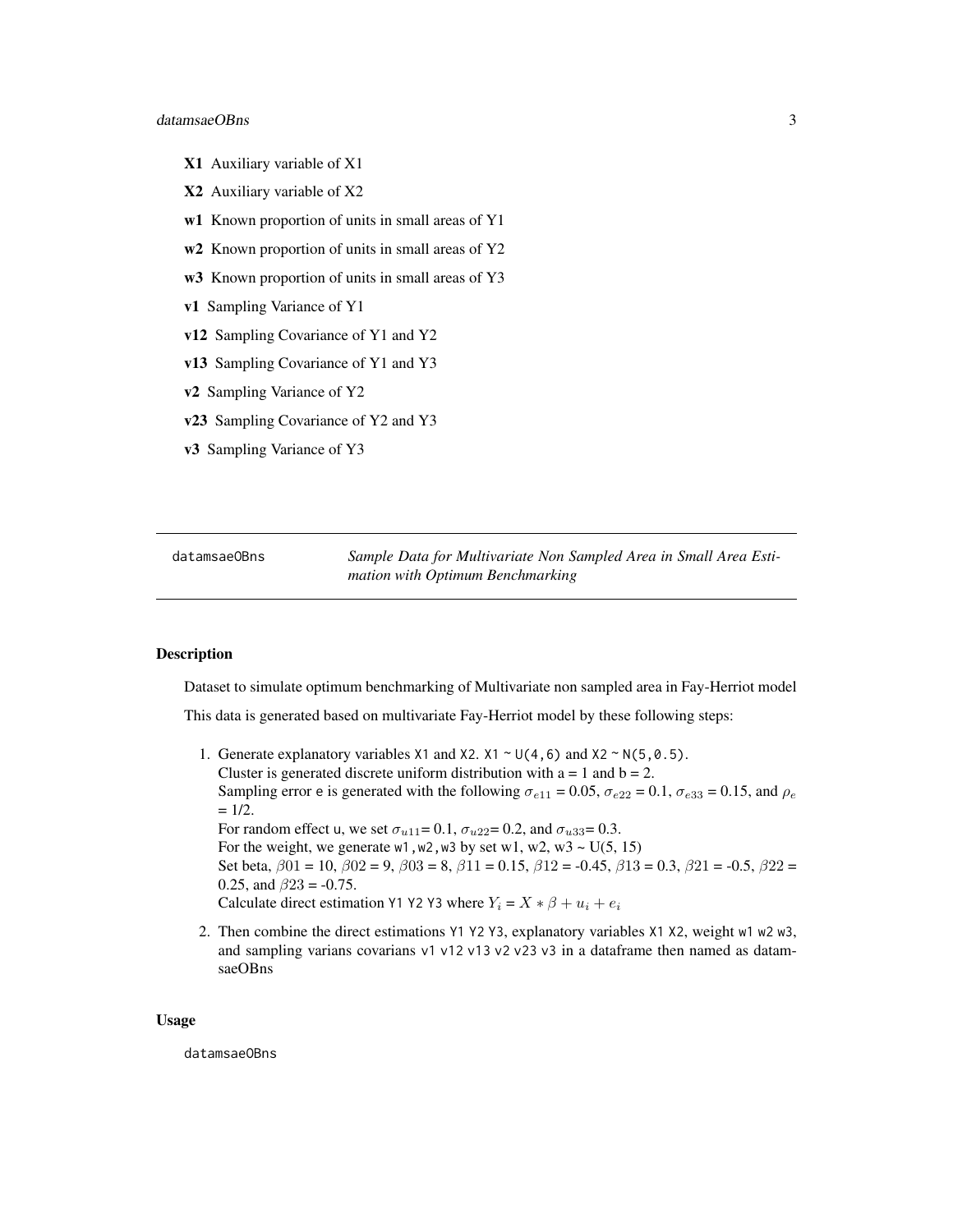#### <span id="page-2-0"></span>datamsaeOBns 3

- X1 Auxiliary variable of X1
- X2 Auxiliary variable of X2
- w1 Known proportion of units in small areas of Y1
- w2 Known proportion of units in small areas of Y2
- w3 Known proportion of units in small areas of Y3
- v1 Sampling Variance of Y1
- v12 Sampling Covariance of Y1 and Y2
- v13 Sampling Covariance of Y1 and Y3
- v2 Sampling Variance of Y2
- v23 Sampling Covariance of Y2 and Y3
- v3 Sampling Variance of Y3

datamsaeOBns *Sample Data for Multivariate Non Sampled Area in Small Area Estimation with Optimum Benchmarking*

#### Description

Dataset to simulate optimum benchmarking of Multivariate non sampled area in Fay-Herriot model

This data is generated based on multivariate Fay-Herriot model by these following steps:

1. Generate explanatory variables  $X1$  and  $X2$ .  $X1 \sim U(4, 6)$  and  $X2 \sim N(5, 0.5)$ . Cluster is generated discrete uniform distribution with  $a = 1$  and  $b = 2$ . Sampling error e is generated with the following  $\sigma_{e11} = 0.05$ ,  $\sigma_{e22} = 0.1$ ,  $\sigma_{e33} = 0.15$ , and  $\rho_e$  $= 1/2.$ For random effect u, we set  $\sigma_{u11} = 0.1$ ,  $\sigma_{u22} = 0.2$ , and  $\sigma_{u33} = 0.3$ . For the weight, we generate w1, w2, w3 by set w1, w2, w3 ~  $U(5, 15)$ Set beta,  $\beta 01 = 10$ ,  $\beta 02 = 9$ ,  $\beta 03 = 8$ ,  $\beta 11 = 0.15$ ,  $\beta 12 = -0.45$ ,  $\beta 13 = 0.3$ ,  $\beta 21 = -0.5$ ,  $\beta 22 =$ 0.25, and  $\beta$ 23 = -0.75.

Calculate direct estimation Y1 Y2 Y3 where  $Y_i = X * \beta + u_i + e_i$ 

2. Then combine the direct estimations Y1 Y2 Y3, explanatory variables X1 X2, weight w1 w2 w3, and sampling varians covarians v1 v12 v13 v2 v23 v3 in a dataframe then named as datamsaeOBns

#### Usage

datamsaeOBns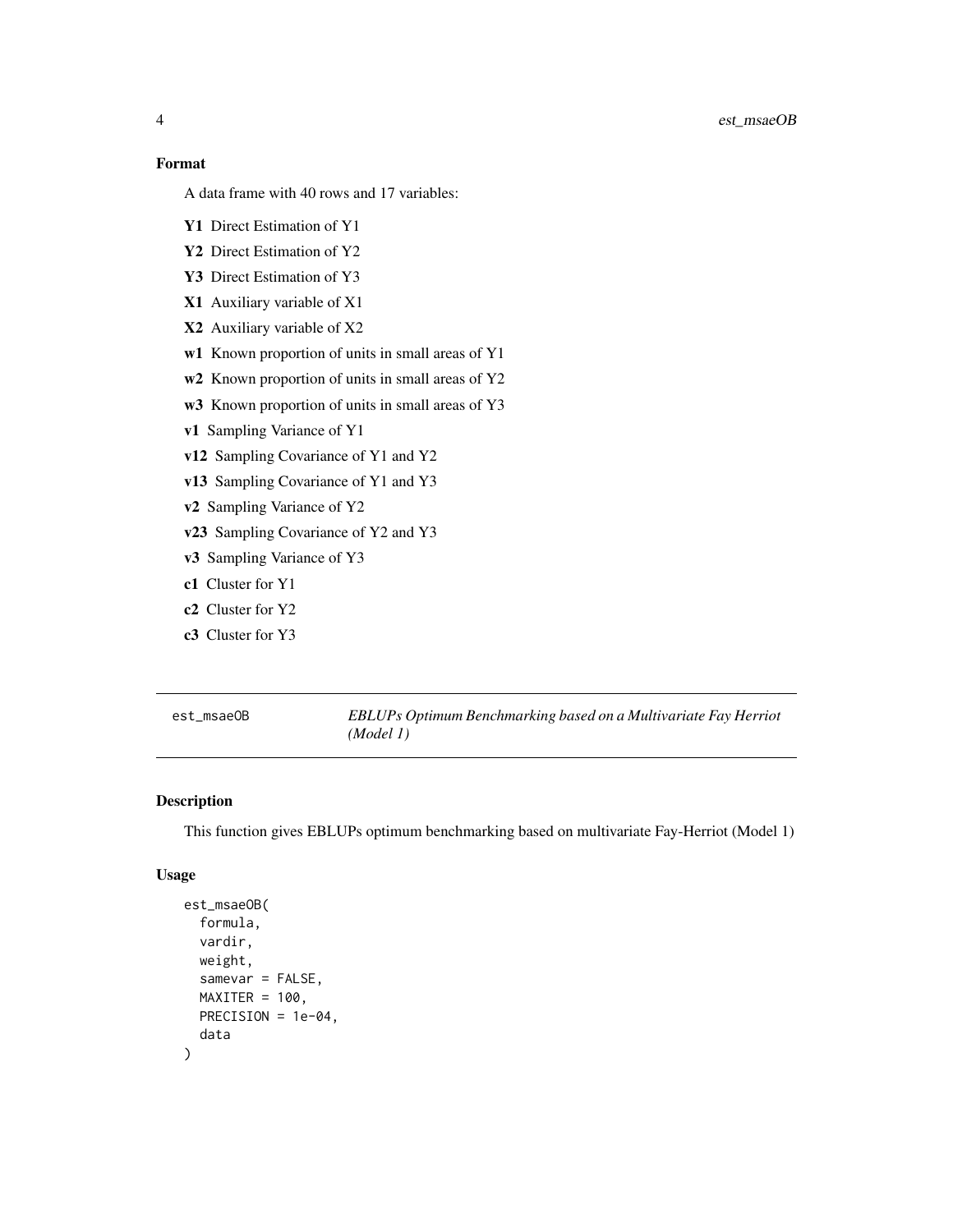#### <span id="page-3-0"></span>Format

A data frame with 40 rows and 17 variables:

- Y1 Direct Estimation of Y1
- Y2 Direct Estimation of Y2
- Y3 Direct Estimation of Y3
- X1 Auxiliary variable of X1
- X2 Auxiliary variable of X2
- w1 Known proportion of units in small areas of Y1
- w<sub>2</sub> Known proportion of units in small areas of Y<sub>2</sub>
- w3 Known proportion of units in small areas of Y3
- v1 Sampling Variance of Y1
- v12 Sampling Covariance of Y1 and Y2
- v13 Sampling Covariance of Y1 and Y3
- v2 Sampling Variance of Y2
- v23 Sampling Covariance of Y2 and Y3
- v3 Sampling Variance of Y3
- c1 Cluster for Y1
- c2 Cluster for Y2
- c3 Cluster for Y3

est\_msaeOB *EBLUPs Optimum Benchmarking based on a Multivariate Fay Herriot (Model 1)*

#### Description

This function gives EBLUPs optimum benchmarking based on multivariate Fay-Herriot (Model 1)

#### Usage

```
est_msaeOB(
  formula,
  vardir,
 weight,
  samevar = FALSE,
 MAXITER = 100,
 PRECISION = 1e-04,
  data
)
```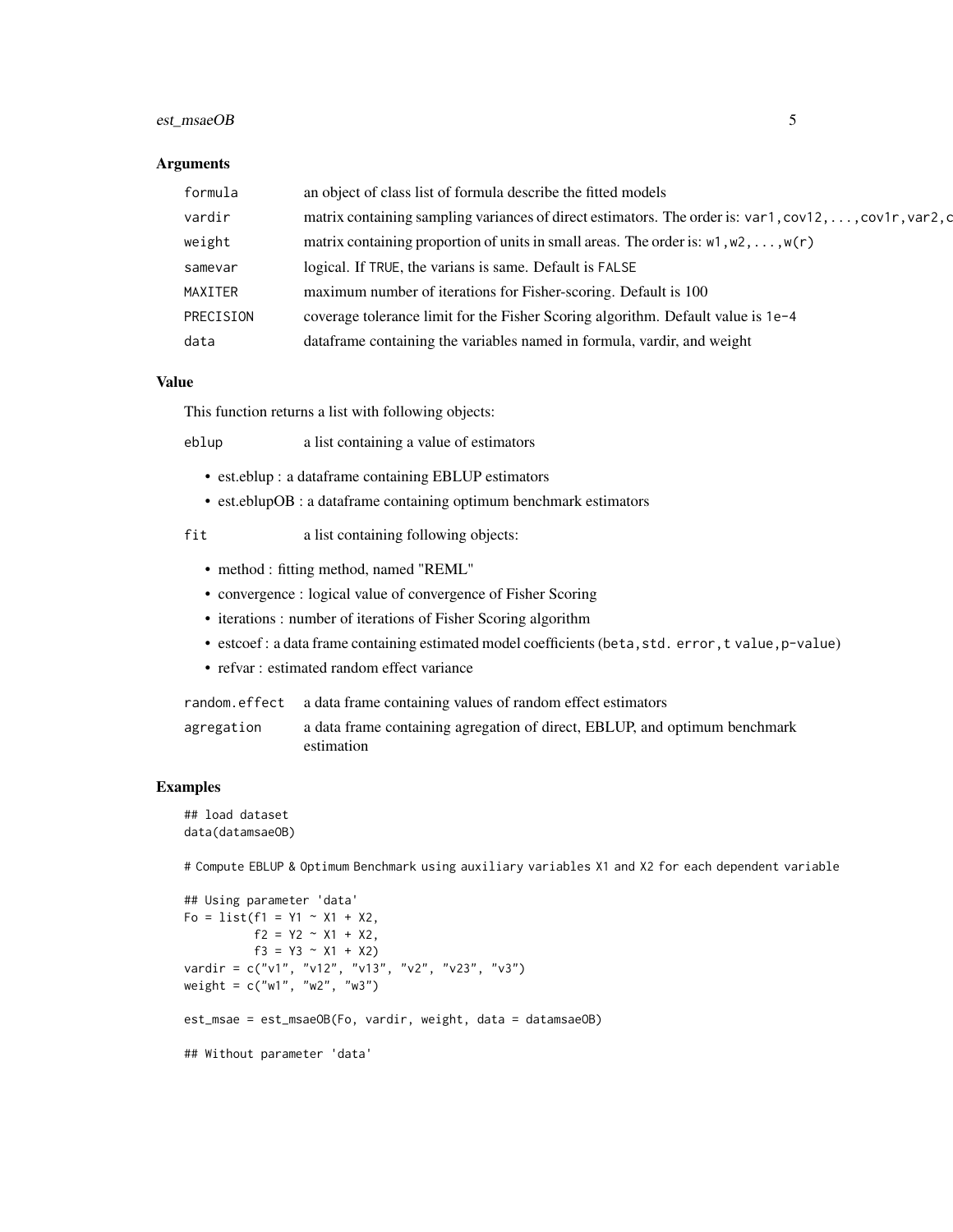#### est\_msaeOB 5

#### **Arguments**

| formula   | an object of class list of formula describe the fitted models                                                  |
|-----------|----------------------------------------------------------------------------------------------------------------|
| vardir    | matrix containing sampling variances of direct estimators. The order is: $var1, cov12, \ldots, cov1r, var2, c$ |
| weight    | matrix containing proportion of units in small areas. The order is: $w1, w2, \ldots, w(r)$                     |
| samevar   | logical. If TRUE, the varians is same. Default is FALSE                                                        |
| MAXITER   | maximum number of iterations for Fisher-scoring. Default is 100                                                |
| PRECISION | coverage tolerance limit for the Fisher Scoring algorithm. Default value is 1e-4                               |
| data      | dataframe containing the variables named in formula, vardir, and weight                                        |

#### Value

This function returns a list with following objects:

eblup a list containing a value of estimators

- est.eblup : a dataframe containing EBLUP estimators
- est.eblupOB : a dataframe containing optimum benchmark estimators

fit a list containing following objects:

- method : fitting method, named "REML"
- convergence : logical value of convergence of Fisher Scoring
- iterations : number of iterations of Fisher Scoring algorithm
- estcoef : a data frame containing estimated model coefficients (beta, std. error, t value, p-value)
- refvar : estimated random effect variance

random.effect a data frame containing values of random effect estimators

agregation a data frame containing agregation of direct, EBLUP, and optimum benchmark estimation

#### Examples

```
## load dataset
data(datamsaeOB)
```
# Compute EBLUP & Optimum Benchmark using auxiliary variables X1 and X2 for each dependent variable

```
## Using parameter 'data'
Fo = list(f1 = Y1 ~ \sim X1 ~ + X2,f2 = Y2 \sim X1 + X2,
          f3 = Y3 \sim X1 + X2vardir = c("v1", "v12", "v13", "v2", "v23", "v3")
weight = c("w1", "w2", "w3")
est_msae = est_msaeOB(Fo, vardir, weight, data = datamsaeOB)
## Without parameter 'data'
```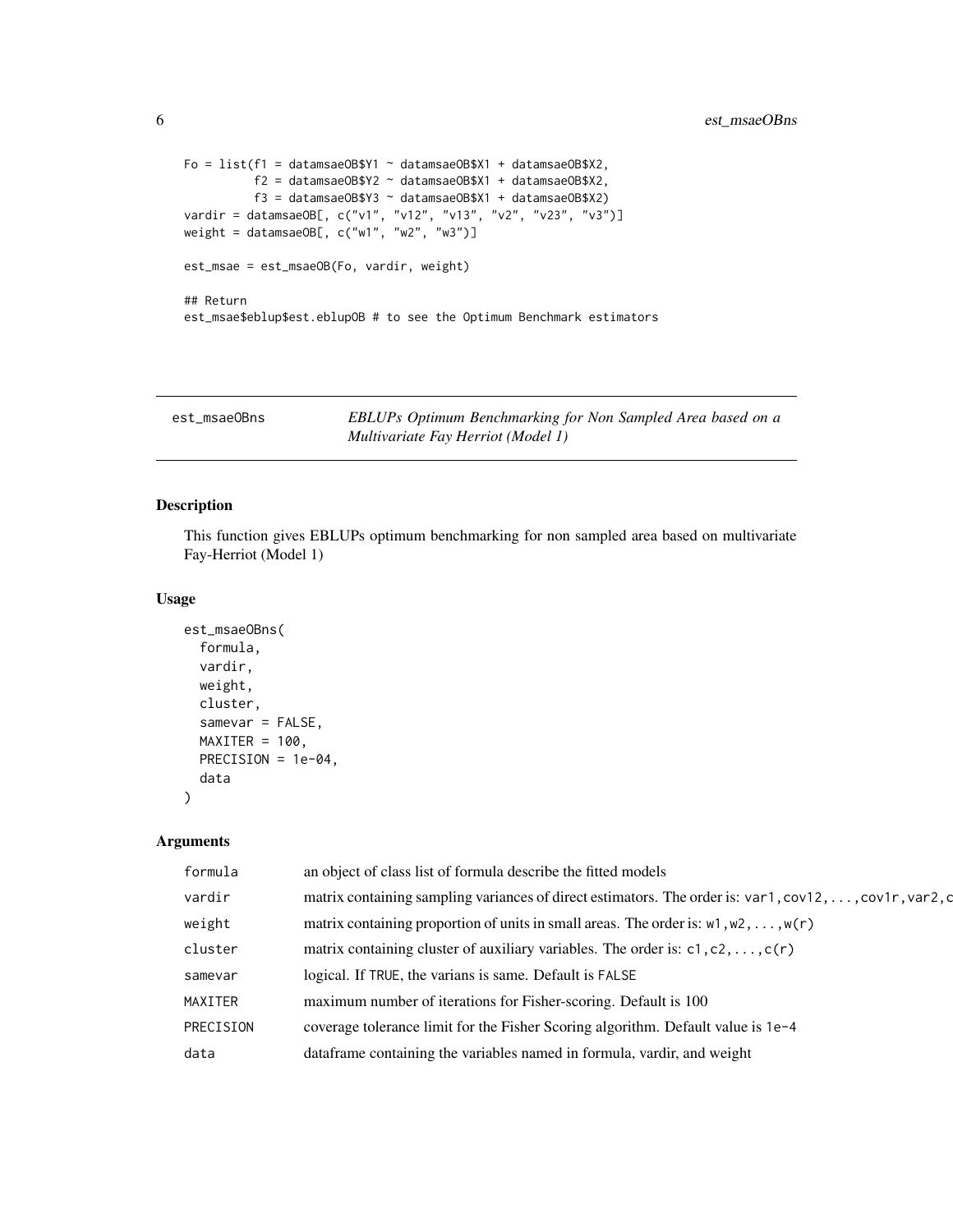```
Fo = list(f1 = datamsaeOB$Y1 ~ datansaeOB$X1 + datamsaeOB$X2,f2 = datamsaeOB$Y2 ~ datamsaeOB$X1 + datamsaeOB$X2,
         f3 = datamsaeOB$Y3 ~ datamsaeOB$X1 + datamsaeOB$X2)
vardir = datamsaeOB[, c("v1", "v12", "v13", "v2", "v23", "v3")]
weight = datamsaeOB[, c("w1", "w2", "w3")est_msae = est_msaeOB(Fo, vardir, weight)
## Return
est_msae$eblup$est.eblupOB # to see the Optimum Benchmark estimators
```
est\_msaeOBns *EBLUPs Optimum Benchmarking for Non Sampled Area based on a Multivariate Fay Herriot (Model 1)*

#### Description

This function gives EBLUPs optimum benchmarking for non sampled area based on multivariate Fay-Herriot (Model 1)

#### Usage

```
est_msaeOBns(
  formula,
 vardir,
 weight,
 cluster,
 samevar = FALSE,
 MAXITER = 100,PRECISION = 1e-04,
  data
)
```
#### Arguments

| formula   | an object of class list of formula describe the fitted models                                          |
|-----------|--------------------------------------------------------------------------------------------------------|
| vardir    | matrix containing sampling variances of direct estimators. The order is: var1, cov12, , cov1r, var2, c |
| weight    | matrix containing proportion of units in small areas. The order is: $w1, w2, \ldots, w(r)$             |
| cluster   | matrix containing cluster of auxiliary variables. The order is: $c1$ , $c2$ , , $c(r)$                 |
| samevar   | logical. If TRUE, the varians is same. Default is FALSE                                                |
| MAXITER   | maximum number of iterations for Fisher-scoring. Default is 100                                        |
| PRECISION | coverage tolerance limit for the Fisher Scoring algorithm. Default value is 1e-4                       |
| data      | data frame containing the variables named in formula, vardir, and weight                               |
|           |                                                                                                        |

<span id="page-5-0"></span>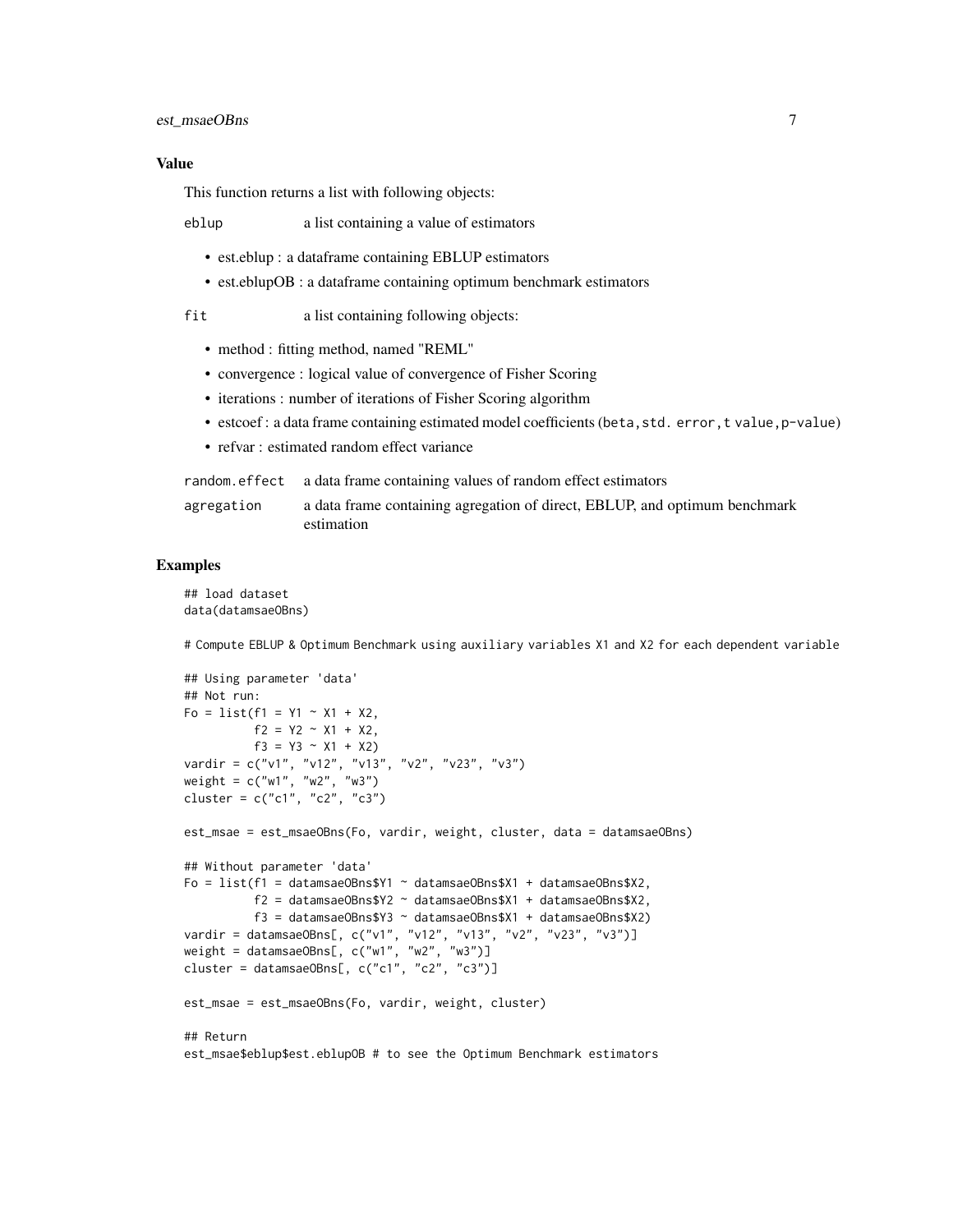#### Value

This function returns a list with following objects:

eblup a list containing a value of estimators

- est.eblup : a dataframe containing EBLUP estimators
- est.eblupOB : a dataframe containing optimum benchmark estimators

fit a list containing following objects:

- method : fitting method, named "REML"
- convergence : logical value of convergence of Fisher Scoring
- iterations : number of iterations of Fisher Scoring algorithm
- estcoef : a data frame containing estimated model coefficients (beta, std. error, t value, p-value)
- refvar : estimated random effect variance

|            | random effect a data frame containing values of random effect estimators                 |
|------------|------------------------------------------------------------------------------------------|
| agregation | a data frame containing agregation of direct, EBLUP, and optimum benchmark<br>estimation |

#### Examples

```
## load dataset
data(datamsaeOBns)
```
# Compute EBLUP & Optimum Benchmark using auxiliary variables X1 and X2 for each dependent variable

```
## Using parameter 'data'
## Not run:
F_0 = list(f1 = Y1 - X1 + X2,f2 = Y2 - X1 + X2,
         f3 = Y3 \sim X1 + X2vardir = c("v1", "v12", "v13", "v2", "v23", "v3")
weight = c("w1", "w2", "w3")
cluster = c("c1", "c2", "c3")est_msae = est_msaeOBns(Fo, vardir, weight, cluster, data = datamsaeOBns)
## Without parameter 'data'
Fo = list(f1 = datamsaeOBns$Y1 ~ datamsaeOBns$X1 + datamsaeOBns$X2,
          f2 = datamsaeOBns$Y2 ~ datamsaeOBns$X1 + datamsaeOBns$X2,
          f3 = datamsaeOBns$Y3 ~ datamsaeOBns$X1 + datamsaeOBns$X2)
vardir = datamsaeOBns[, c("v1", "v12", "v13", "v2", "v23", "v3")]
weight = datamsaeOBns[, c("w1", "w2", "w3")cluster = datamsaeOBns[, c("c1", "c2", "c3")]
est_msae = est_msaeOBns(Fo, vardir, weight, cluster)
## Return
est_msae$eblup$est.eblupOB # to see the Optimum Benchmark estimators
```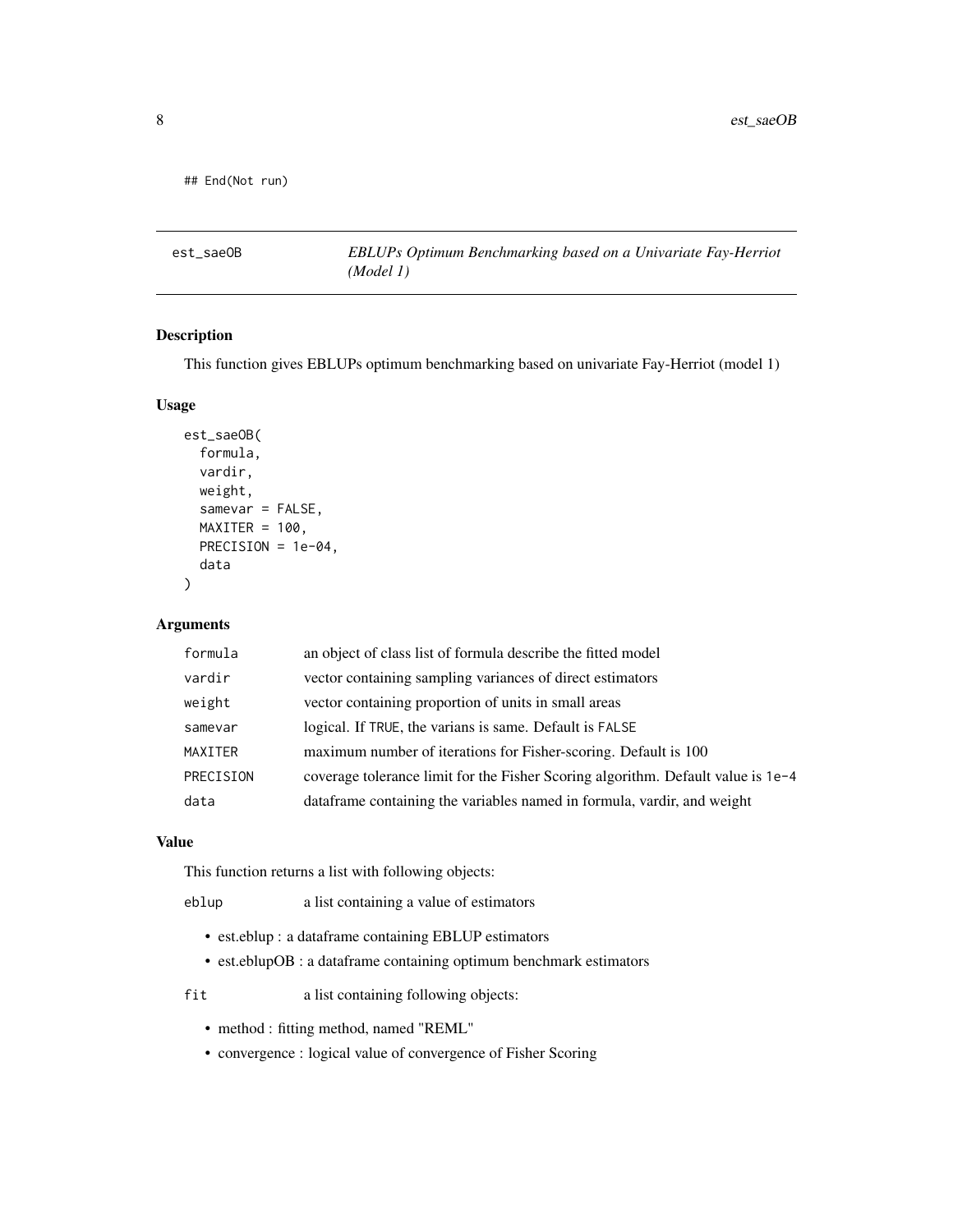```
## End(Not run)
```
est\_saeOB *EBLUPs Optimum Benchmarking based on a Univariate Fay-Herriot (Model 1)*

#### Description

This function gives EBLUPs optimum benchmarking based on univariate Fay-Herriot (model 1)

#### Usage

```
est_saeOB(
  formula,
  vardir,
 weight,
  samevar = FALSE,
 MAXITER = 100,PRECISION = 1e-04,
  data
)
```
#### Arguments

| formula   | an object of class list of formula describe the fitted model                     |
|-----------|----------------------------------------------------------------------------------|
| vardir    | vector containing sampling variances of direct estimators                        |
| weight    | vector containing proportion of units in small areas                             |
| samevar   | logical. If TRUE, the varians is same. Default is FALSE                          |
| MAXITER   | maximum number of iterations for Fisher-scoring. Default is 100                  |
| PRECISION | coverage tolerance limit for the Fisher Scoring algorithm. Default value is 1e-4 |
| data      | data frame containing the variables named in formula, vardir, and weight         |
|           |                                                                                  |

#### Value

This function returns a list with following objects:

eblup a list containing a value of estimators

- est.eblup : a dataframe containing EBLUP estimators
- est.eblupOB : a dataframe containing optimum benchmark estimators

fit a list containing following objects:

- method : fitting method, named "REML"
- convergence : logical value of convergence of Fisher Scoring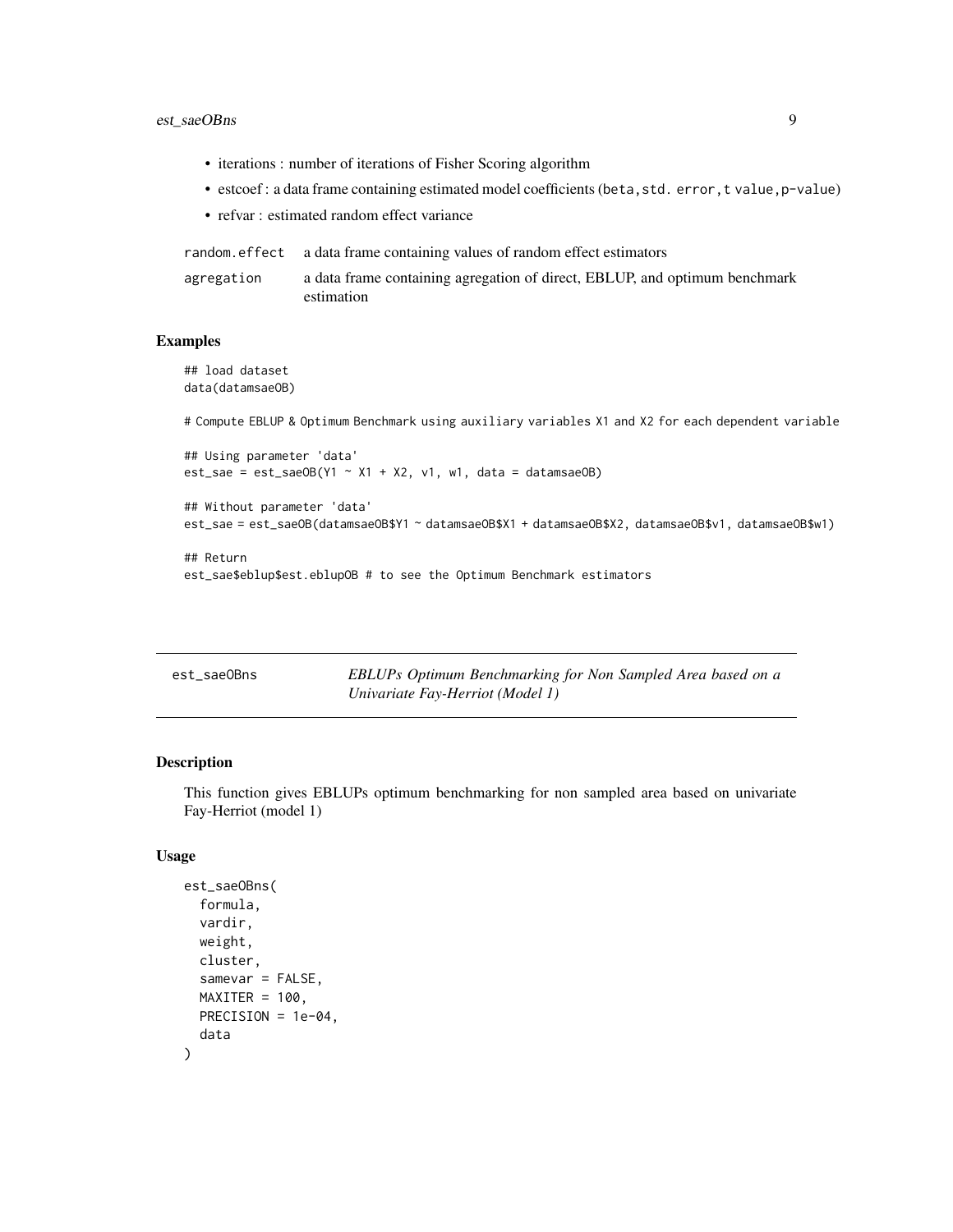#### <span id="page-8-0"></span>est\_saeOBns 9

- iterations : number of iterations of Fisher Scoring algorithm
- estcoef : a data frame containing estimated model coefficients (beta, std. error, t value, p-value)
- refvar : estimated random effect variance

|            | random, effect a data frame containing values of random effect estimators                |
|------------|------------------------------------------------------------------------------------------|
| agregation | a data frame containing agregation of direct, EBLUP, and optimum benchmark<br>estimation |

#### Examples

## load dataset data(datamsaeOB)

# Compute EBLUP & Optimum Benchmark using auxiliary variables X1 and X2 for each dependent variable

```
## Using parameter 'data'
est\_sae = est\_saeOB(Y1 ~ x1 + X2, v1, w1, data = datamsaeOB)
```

```
## Without parameter 'data'
est_sae = est_saeOB(datamsaeOB$Y1 ~ datamsaeOB$X1 + datamsaeOB$X2, datamsaeOB$v1, datamsaeOB$w1)
```

```
## Return
est_sae$eblup$est.eblupOB # to see the Optimum Benchmark estimators
```

| est saeOBns | EBLUPs Optimum Benchmarking for Non Sampled Area based on a |
|-------------|-------------------------------------------------------------|
|             | Univariate Fay-Herriot (Model 1)                            |

#### Description

This function gives EBLUPs optimum benchmarking for non sampled area based on univariate Fay-Herriot (model 1)

#### Usage

```
est_saeOBns(
  formula,
  vardir,
 weight,
  cluster,
  samevar = FALSE,
 MAXITER = 100,
 PRECISION = 1e-04,
  data
)
```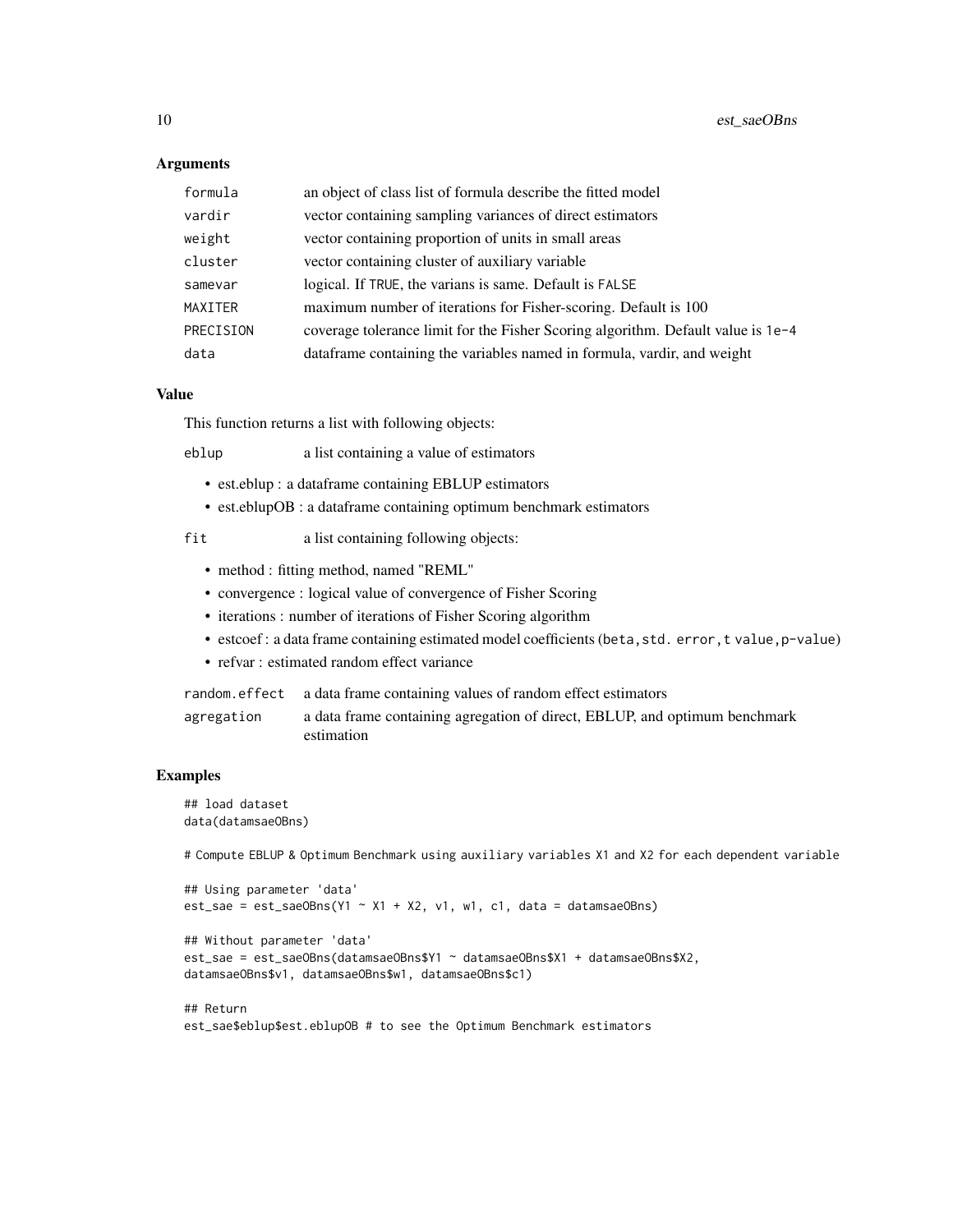#### Arguments

| formula   | an object of class list of formula describe the fitted model                     |
|-----------|----------------------------------------------------------------------------------|
| vardir    | vector containing sampling variances of direct estimators                        |
| weight    | vector containing proportion of units in small areas                             |
| cluster   | vector containing cluster of auxiliary variable                                  |
| samevar   | logical. If TRUE, the varians is same. Default is FALSE                          |
| MAXITER   | maximum number of iterations for Fisher-scoring. Default is 100                  |
| PRECISION | coverage tolerance limit for the Fisher Scoring algorithm. Default value is 1e-4 |
| data      | data frame containing the variables named in formula, vardir, and weight         |

#### Value

This function returns a list with following objects:

eblup a list containing a value of estimators

- est.eblup : a dataframe containing EBLUP estimators
- est.eblupOB : a dataframe containing optimum benchmark estimators

fit a list containing following objects:

- method : fitting method, named "REML"
- convergence : logical value of convergence of Fisher Scoring
- iterations : number of iterations of Fisher Scoring algorithm
- estcoef : a data frame containing estimated model coefficients (beta, std. error, t value, p-value)
- refvar : estimated random effect variance

random.effect a data frame containing values of random effect estimators agregation a data frame containing agregation of direct, EBLUP, and optimum benchmark estimation

#### Examples

```
## load dataset
data(datamsaeOBns)
```
# Compute EBLUP & Optimum Benchmark using auxiliary variables X1 and X2 for each dependent variable

```
## Using parameter 'data'
est\_sae = est\_saeOBns(Y1 ~ x1 + X2, v1, w1, c1, data = datamsaeOBns)
```

```
## Without parameter 'data'
est_sae = est_saeOBns(datamsaeOBns$Y1 ~ datamsaeOBns$X1 + datamsaeOBns$X2,
datamsaeOBns$v1, datamsaeOBns$w1, datamsaeOBns$c1)
```

```
## Return
est_sae$eblup$est.eblupOB # to see the Optimum Benchmark estimators
```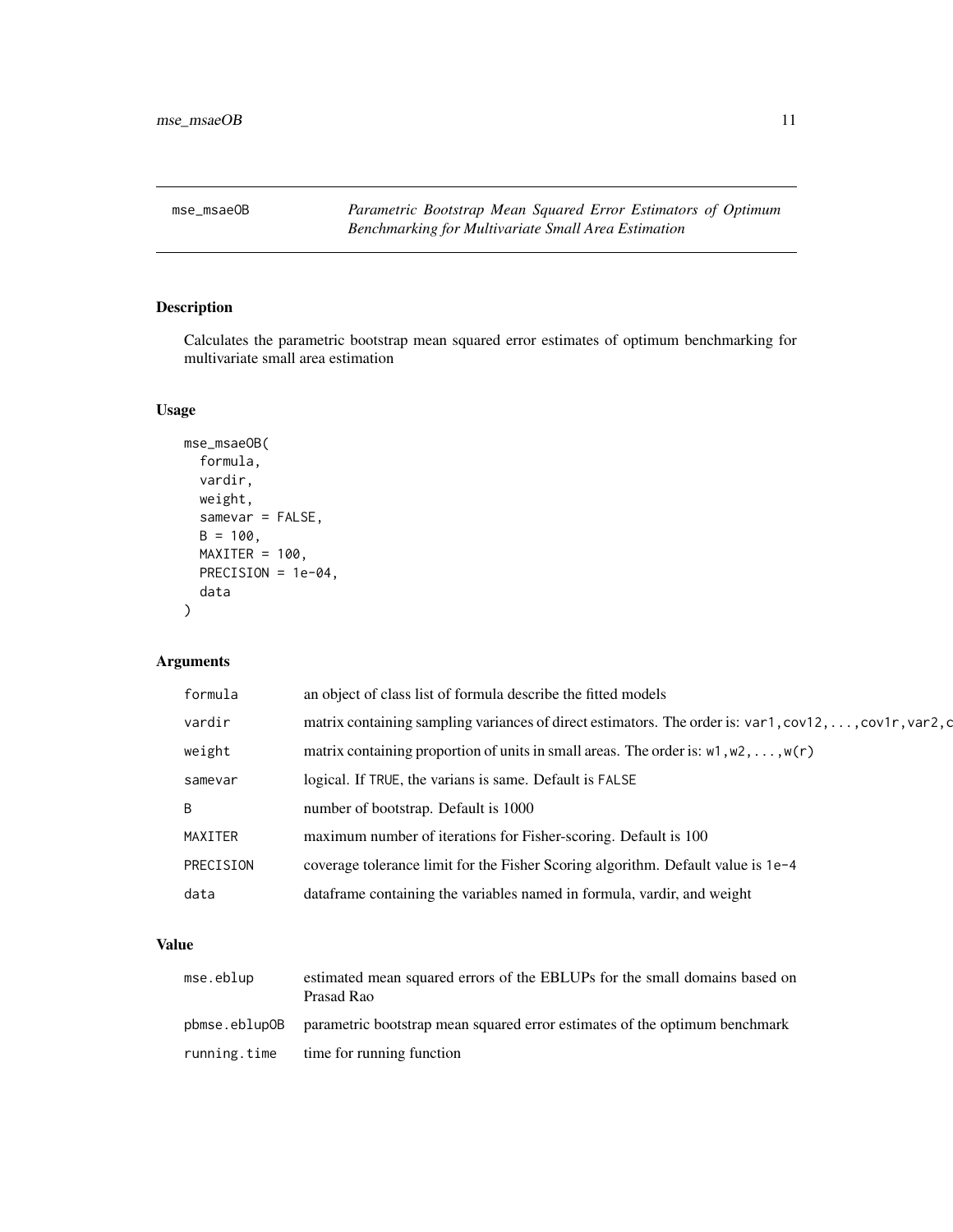<span id="page-10-0"></span>mse\_msaeOB *Parametric Bootstrap Mean Squared Error Estimators of Optimum Benchmarking for Multivariate Small Area Estimation*

#### Description

Calculates the parametric bootstrap mean squared error estimates of optimum benchmarking for multivariate small area estimation

#### Usage

```
mse_msaeOB(
 formula,
 vardir,
 weight,
 samevar = FALSE,
 B = 100,MAXITER = 100,PRECISION = 1e-04,
  data
)
```
#### Arguments

| formula   | an object of class list of formula describe the fitted models                                                        |
|-----------|----------------------------------------------------------------------------------------------------------------------|
| vardir    | matrix containing sampling variances of direct estimators. The order is: $var1$ , $cov12$ , , $cov1r$ , $var2$ , $c$ |
| weight    | matrix containing proportion of units in small areas. The order is: $w1, w2, \ldots, w(r)$                           |
| samevar   | logical. If TRUE, the varians is same. Default is FALSE                                                              |
| B         | number of bootstrap. Default is 1000                                                                                 |
| MAXITER   | maximum number of iterations for Fisher-scoring. Default is 100                                                      |
| PRECISION | coverage tolerance limit for the Fisher Scoring algorithm. Default value is 1e-4                                     |
| data      | data frame containing the variables named in formula, vardir, and weight                                             |
|           |                                                                                                                      |

#### Value

| mse.eblup     | estimated mean squared errors of the EBLUPs for the small domains based on<br>Prasad Rao |
|---------------|------------------------------------------------------------------------------------------|
| pbmse.eblupOB | parametric bootstrap mean squared error estimates of the optimum benchmark               |
| running.time  | time for running function                                                                |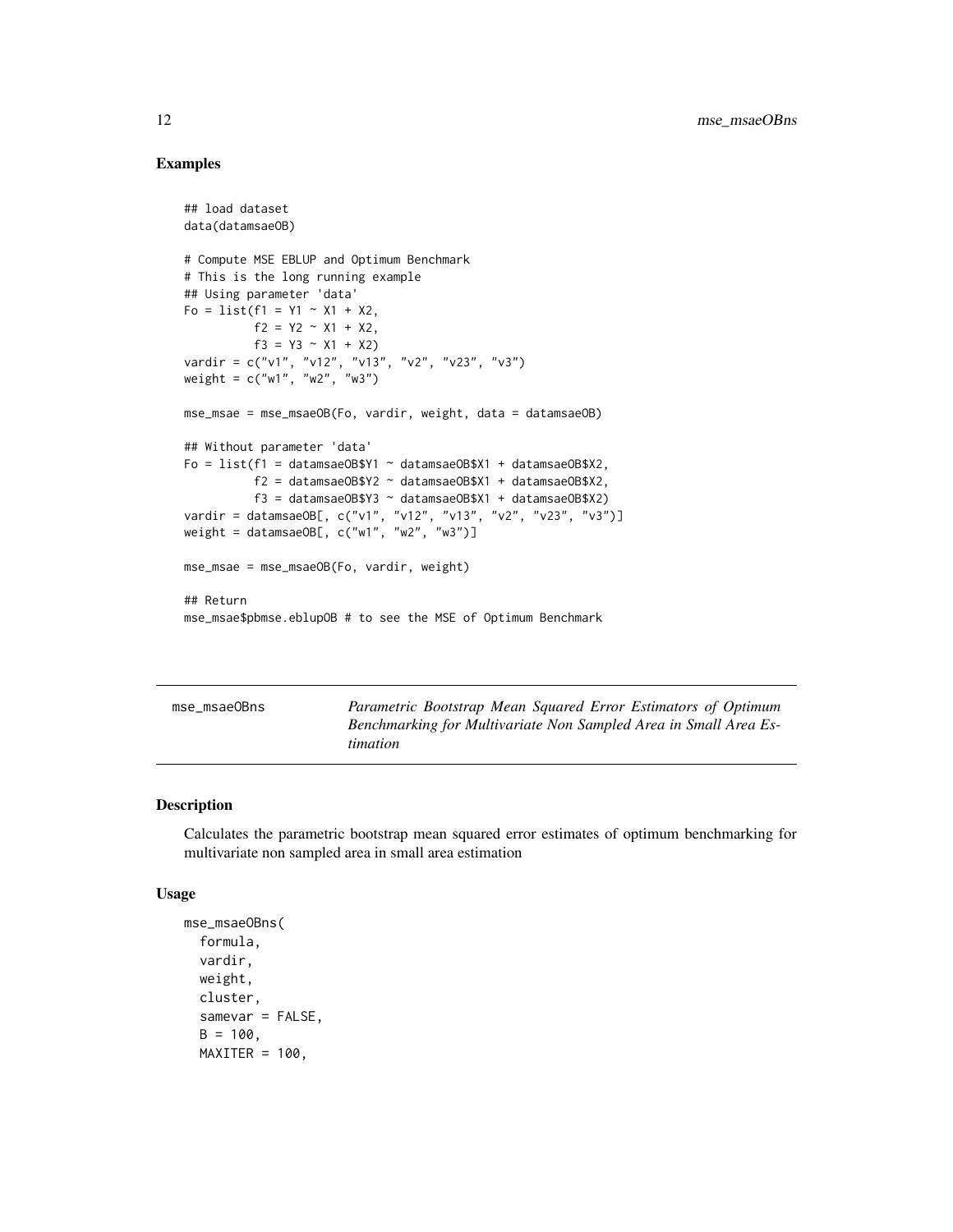#### Examples

```
## load dataset
data(datamsaeOB)
# Compute MSE EBLUP and Optimum Benchmark
# This is the long running example
## Using parameter 'data'
F_0 = list(f1 = Y1 - X1 + X2,f2 = Y2 - X1 + X2,
          f3 = Y3 \sim X1 + X2vardir = c("v1", "v12", "v13", "v2", "v23", "v3")
weight = c("w1", "w2", "w3")
mse_msae = mse_msaeOB(Fo, vardir, weight, data = datamsaeOB)
## Without parameter 'data'
Fo = list(f1 = datamsaeOB$Y1 ~ datamsaeOB$X1 + datamsaeOB$X2,
          f2 = datamsaeOB$Y2 ~ datusaeOB$X1 + datamsaeOB$X2,f3 = datamsaeOB$Y3 ~ datamsaeOB$X1 + datamsaeOB$X2)
vardir = datamsaeOB[, c("v1", "v12", "v13", "v2", "v23", "v3")]
weight = datamsaeOB[, c("w1", "w2", "w3")]
mse_msae = mse_msaeOB(Fo, vardir, weight)
## Return
mse_msae$pbmse.eblupOB # to see the MSE of Optimum Benchmark
```
mse\_msaeOBns *Parametric Bootstrap Mean Squared Error Estimators of Optimum Benchmarking for Multivariate Non Sampled Area in Small Area Estimation*

#### **Description**

Calculates the parametric bootstrap mean squared error estimates of optimum benchmarking for multivariate non sampled area in small area estimation

#### Usage

```
mse_msaeOBns(
  formula,
  vardir,
 weight,
  cluster,
  samevar = FALSE,
 B = 100,
 MAXITER = 100,
```
<span id="page-11-0"></span>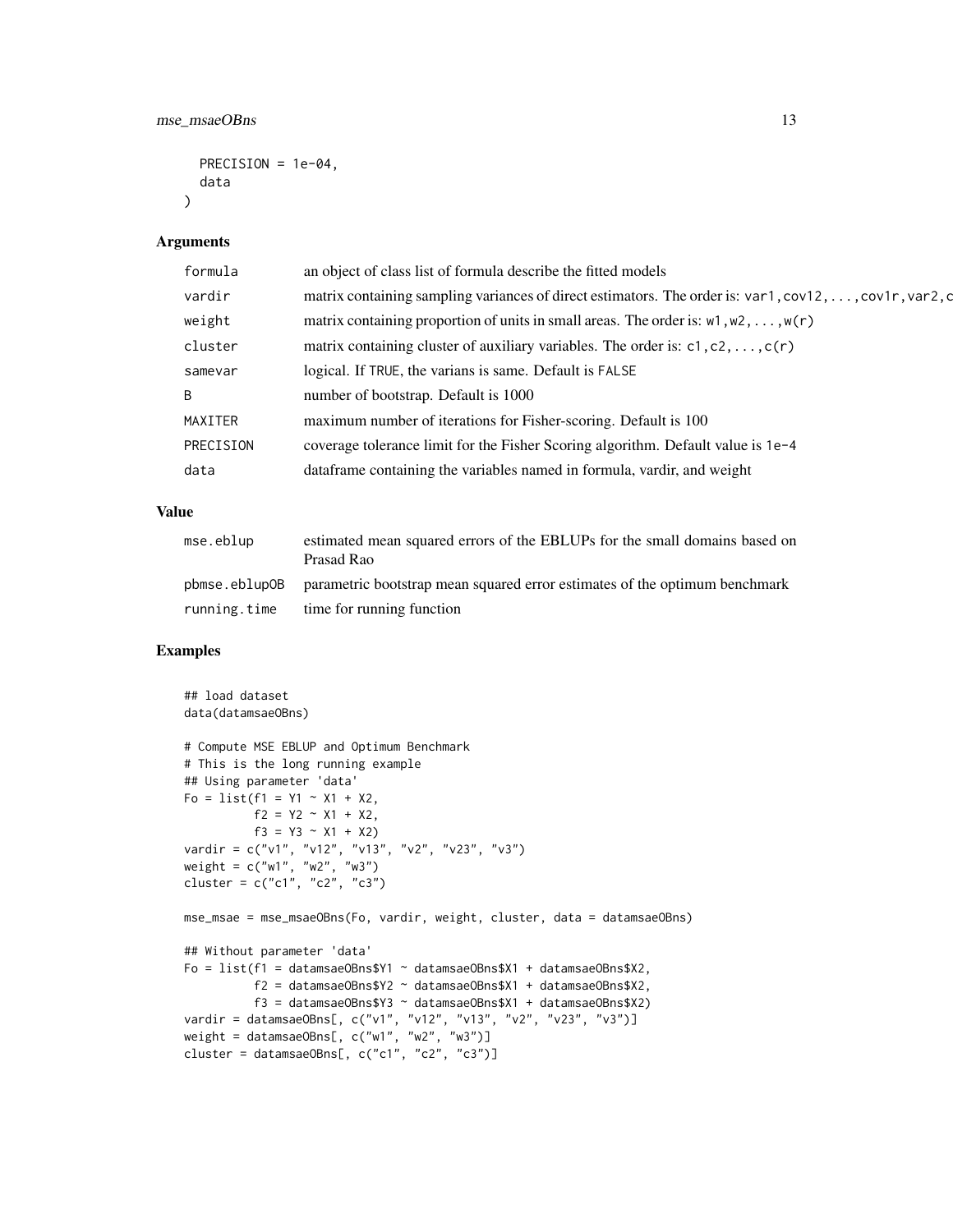```
PRECISION = 1e-04,
data
```
#### Arguments

 $\lambda$ 

| formula   | an object of class list of formula describe the fitted models                                                        |
|-----------|----------------------------------------------------------------------------------------------------------------------|
| vardir    | matrix containing sampling variances of direct estimators. The order is: $var1$ , $cov12$ , , $cov1r$ , $var2$ , $c$ |
| weight    | matrix containing proportion of units in small areas. The order is: $w1, w2, \ldots, w(r)$                           |
| cluster   | matrix containing cluster of auxiliary variables. The order is: $c1$ , $c2$ , , $c(r)$                               |
| samevar   | logical. If TRUE, the varians is same. Default is FALSE                                                              |
| B.        | number of bootstrap. Default is 1000                                                                                 |
| MAXITER   | maximum number of iterations for Fisher-scoring. Default is 100                                                      |
| PRECISION | coverage tolerance limit for the Fisher Scoring algorithm. Default value is 1e-4                                     |
| data      | dataframe containing the variables named in formula, vardir, and weight                                              |
|           |                                                                                                                      |

#### Value

| mse.eblup | estimated mean squared errors of the EBLUPs for the small domains based on<br>Prasad Rao |
|-----------|------------------------------------------------------------------------------------------|
|           | phinse ebout parametric bootstrap mean squared error estimates of the optimum benchmark  |
|           | running time time for running function                                                   |

#### Examples

```
## load dataset
data(datamsaeOBns)
# Compute MSE EBLUP and Optimum Benchmark
# This is the long running example
## Using parameter 'data'
Fo = list(f1 = Y1 ~ \sim X1 ~ + X2,f2 = Y2 - X1 + X2,
          f3 = Y3 \sim X1 + X2vardir = c("v1", "v12", "v13", "v2", "v23", "v3")
weight = c("w1", "w2", "w3")
cluster = c("c1", "c2", "c3")mse_msae = mse_msaeOBns(Fo, vardir, weight, cluster, data = datamsaeOBns)
## Without parameter 'data'
Fo = list(f1 = datamsaeOBnssY1 ~ datamsaeOBnssX1 + datamsaeOBnssX2,f2 = datamsaeOBns$Y2 ~ datamsaeOBns$X1 + datamsaeOBns$X2,
          f3 = datamsaeOBns$Y3 ~ datamsaeOBns$X1 + datamsaeOBns$X2)
vardir = datamsaeOBns[, c("v1", "v12", "v13", "v2", "v23", "v3")]
weight = datamsaeOBns[, c("w1", "w2", "w3")]
cluster = datamsaeOBns[, c("c1", "c2", "c3")]
```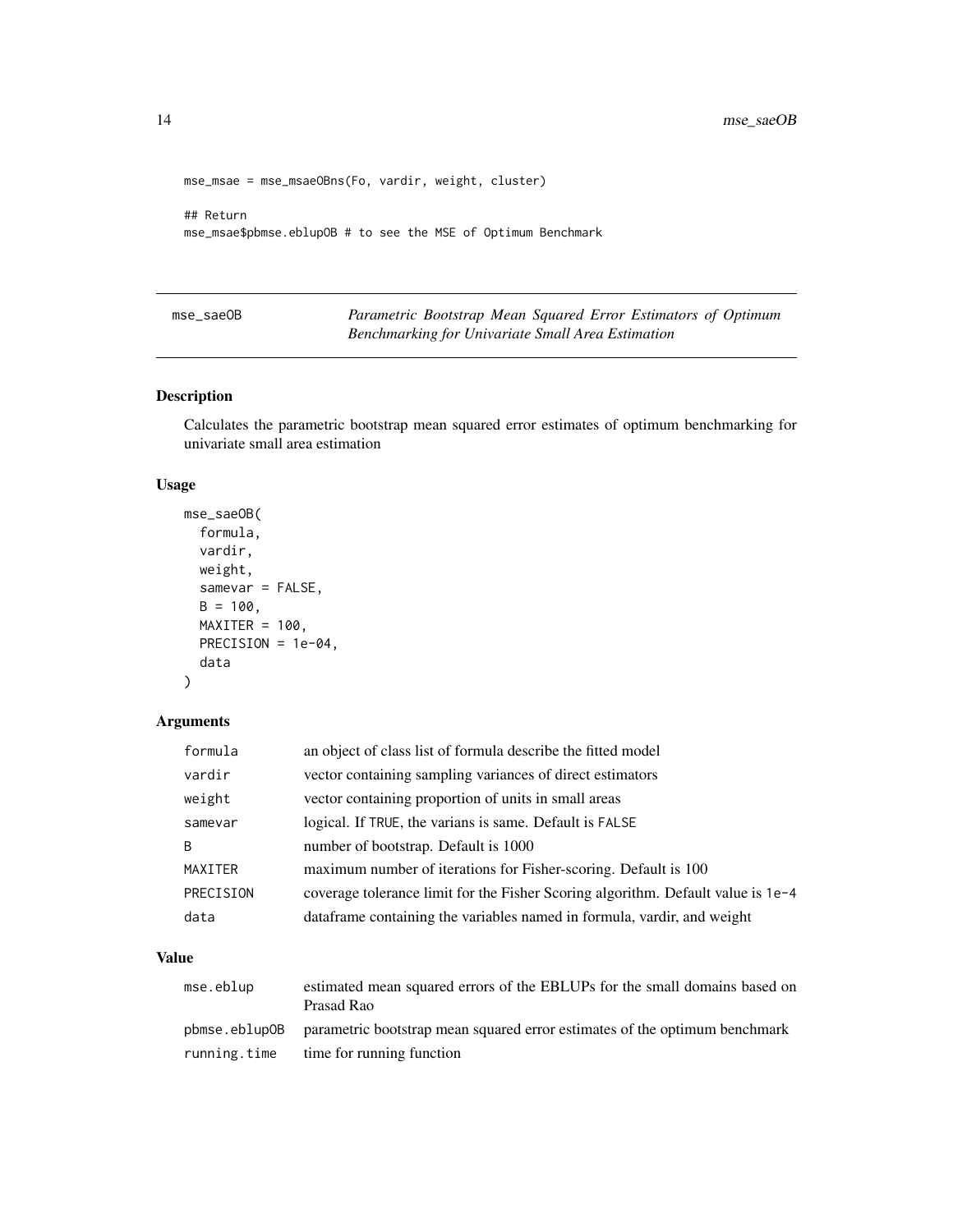```
mse_msae = mse_msaeOBns(Fo, vardir, weight, cluster)
## Return
mse_msae$pbmse.eblupOB # to see the MSE of Optimum Benchmark
```
mse\_saeOB *Parametric Bootstrap Mean Squared Error Estimators of Optimum Benchmarking for Univariate Small Area Estimation*

#### Description

Calculates the parametric bootstrap mean squared error estimates of optimum benchmarking for univariate small area estimation

#### Usage

```
mse_saeOB(
  formula,
  vardir,
 weight,
  samevar = FALSE,
 B = 100,MAXITER = 100,
 PRECISION = 1e-04,
  data
)
```
#### Arguments

| formula   | an object of class list of formula describe the fitted model                     |
|-----------|----------------------------------------------------------------------------------|
| vardir    | vector containing sampling variances of direct estimators                        |
| weight    | vector containing proportion of units in small areas                             |
| samevar   | logical. If TRUE, the varians is same. Default is FALSE                          |
| B         | number of bootstrap. Default is 1000                                             |
| MAXITER   | maximum number of iterations for Fisher-scoring. Default is 100                  |
| PRECISION | coverage tolerance limit for the Fisher Scoring algorithm. Default value is 1e-4 |
| data      | data frame containing the variables named in formula, vardir, and weight         |

#### Value

| mse.eblup     | estimated mean squared errors of the EBLUPs for the small domains based on<br>Prasad Rao |
|---------------|------------------------------------------------------------------------------------------|
| pbmse.eblupOB | parametric bootstrap mean squared error estimates of the optimum benchmark               |
| running.time  | time for running function                                                                |

<span id="page-13-0"></span>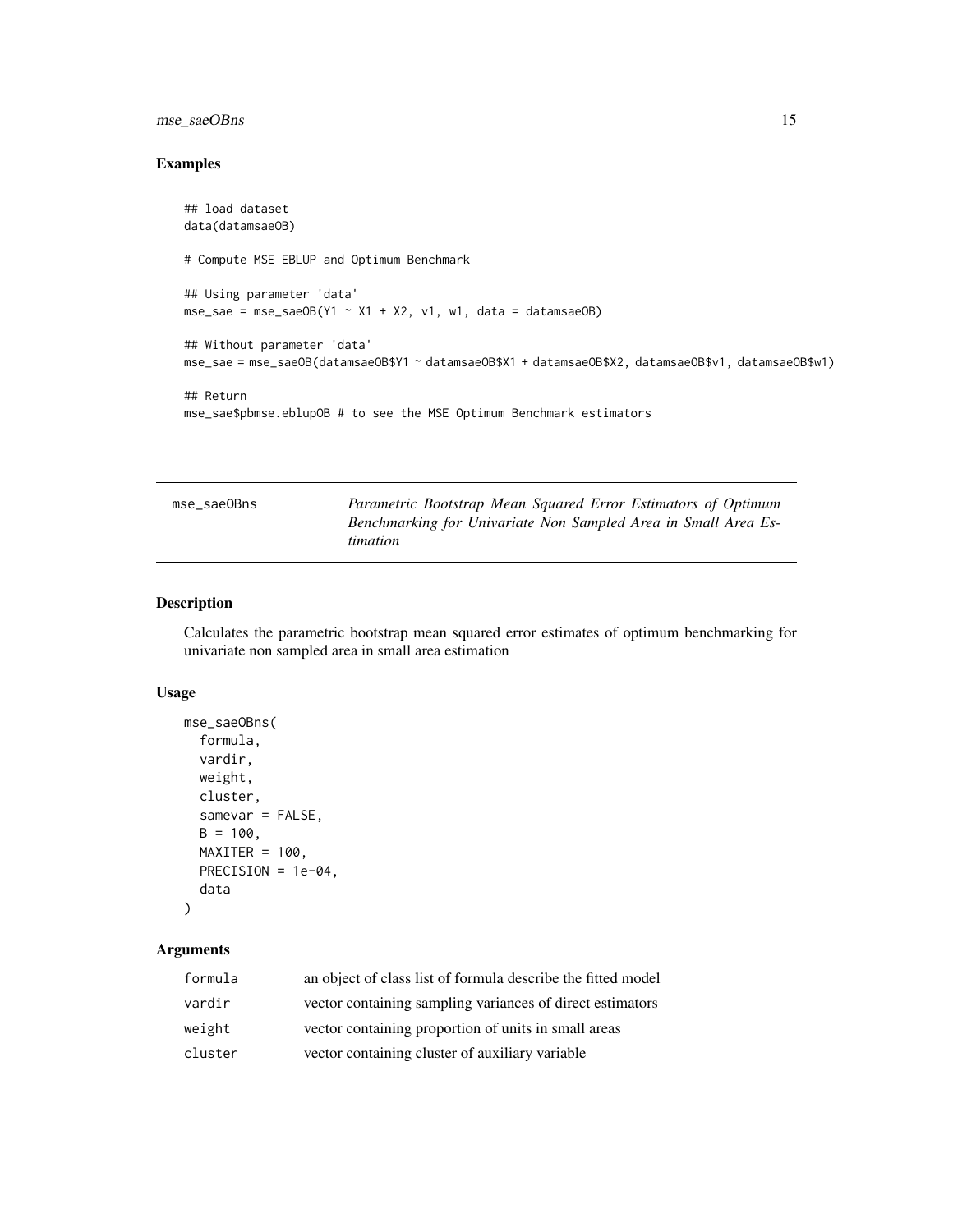#### <span id="page-14-0"></span>mse\_saeOBns 15

#### Examples

```
## load dataset
data(datamsaeOB)
# Compute MSE EBLUP and Optimum Benchmark
## Using parameter 'data'
mse_sae = mse_saeOB(Y1 \sim X1 + X2, V1, W1, data = datamsaeOB)
## Without parameter 'data'
mse_sae = mse_saeOB(datamsaeOB$Y1 ~ datamsaeOB$X1 + datamsaeOB$X2, datamsaeOB$v1, datamsaeOB$w1)
## Return
mse_sae$pbmse.eblupOB # to see the MSE Optimum Benchmark estimators
```

| mse_saeOBns | Parametric Bootstrap Mean Squared Error Estimators of Optimum  |
|-------------|----------------------------------------------------------------|
|             | Benchmarking for Univariate Non Sampled Area in Small Area Es- |
|             | timation                                                       |

#### Description

Calculates the parametric bootstrap mean squared error estimates of optimum benchmarking for univariate non sampled area in small area estimation

#### Usage

```
mse_saeOBns(
  formula,
 vardir,
 weight,
  cluster,
  samevar = FALSE,
 B = 100,MAXITER = 100,PRECISION = 1e-04,
  data
)
```
#### Arguments

| formula | an object of class list of formula describe the fitted model |
|---------|--------------------------------------------------------------|
| vardir  | vector containing sampling variances of direct estimators    |
| weight  | vector containing proportion of units in small areas         |
| cluster | vector containing cluster of auxiliary variable              |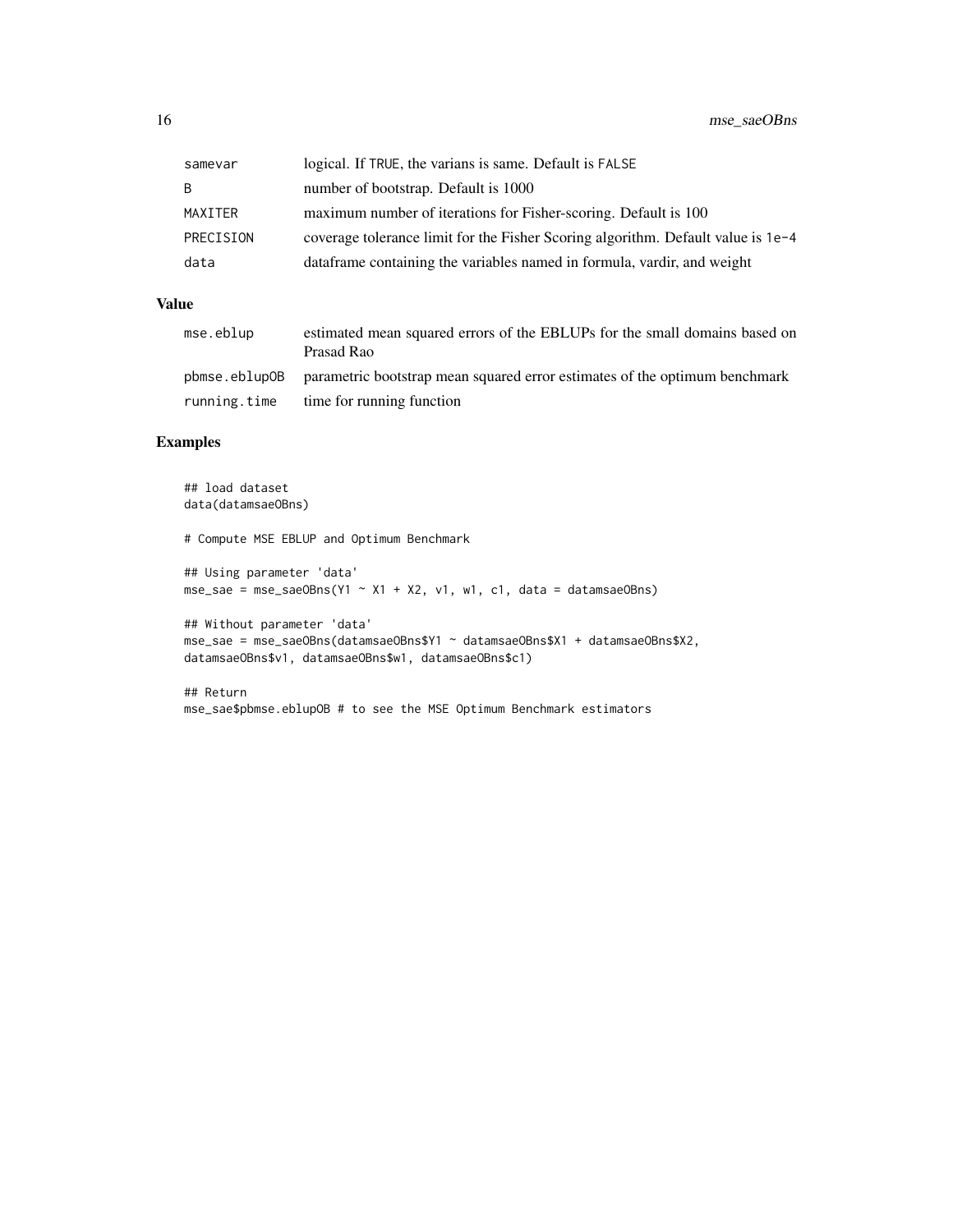| samevar   | logical. If TRUE, the varians is same. Default is FALSE                          |
|-----------|----------------------------------------------------------------------------------|
| B.        | number of bootstrap. Default is 1000                                             |
| MAXITER   | maximum number of iterations for Fisher-scoring. Default is 100                  |
| PRECISION | coverage tolerance limit for the Fisher Scoring algorithm. Default value is 1e-4 |
| data      | data frame containing the variables named in formula, vardir, and weight         |

#### Value

| mse.eblup    | estimated mean squared errors of the EBLUPs for the small domains based on<br>Prasad Rao      |
|--------------|-----------------------------------------------------------------------------------------------|
|              | phinse eboution of parametric bootstrap mean squared error estimates of the optimum benchmark |
| running.time | time for running function                                                                     |

#### Examples

## load dataset data(datamsaeOBns) # Compute MSE EBLUP and Optimum Benchmark ## Using parameter 'data'  $mse\_sae = mse\_saeOBns(Y1 ~ x1 + X2, v1, w1, c1, data = datamsaeOBns)$ ## Without parameter 'data' mse\_sae = mse\_saeOBns(datamsaeOBns\$Y1 ~ datamsaeOBns\$X1 + datamsaeOBns\$X2, datamsaeOBns\$v1, datamsaeOBns\$w1, datamsaeOBns\$c1)

## Return mse\_sae\$pbmse.eblupOB # to see the MSE Optimum Benchmark estimators